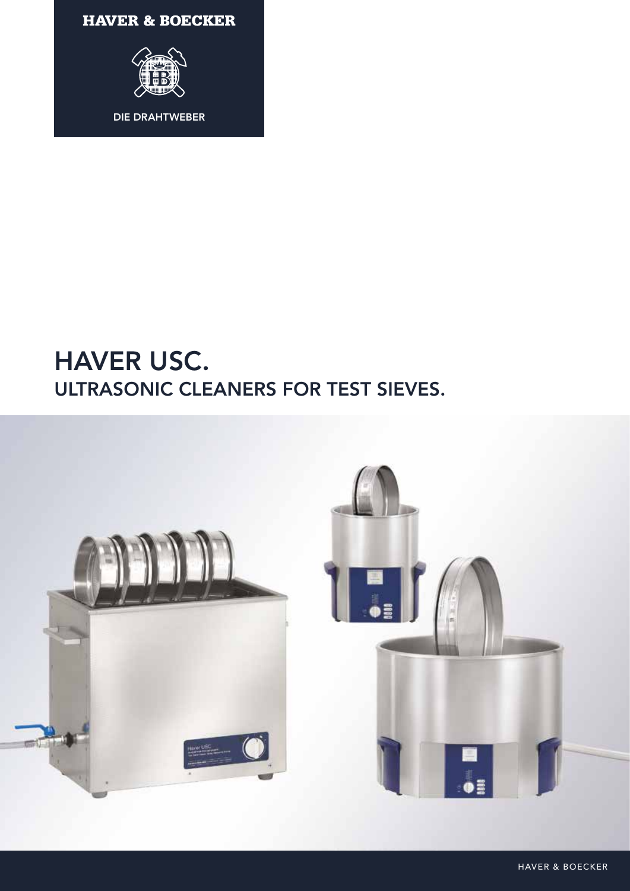**HAVER & BOECKER** 



## HAVER USC. ULTRASONIC CLEANERS FOR TEST SIEVES.